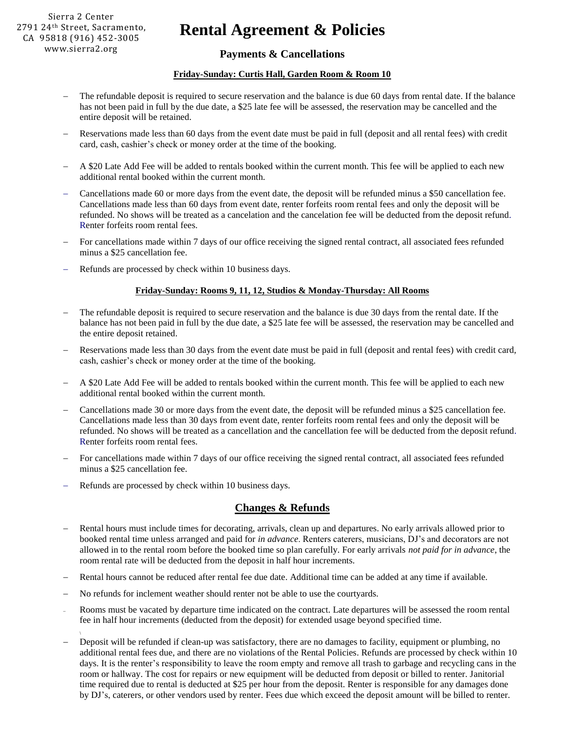# **Rental Agreement & Policies**

## **Payments & Cancellations**

#### **Friday-Sunday: Curtis Hall, Garden Room & Room 10**

- The refundable deposit is required to secure reservation and the balance is due 60 days from rental date. If the balance has not been paid in full by the due date, a \$25 late fee will be assessed, the reservation may be cancelled and the entire deposit will be retained.
- Reservations made less than 60 days from the event date must be paid in full (deposit and all rental fees) with credit card, cash, cashier's check or money order at the time of the booking.
- A \$20 Late Add Fee will be added to rentals booked within the current month. This fee will be applied to each new additional rental booked within the current month.
- Cancellations made 60 or more days from the event date, the deposit will be refunded minus a \$50 cancellation fee. Cancellations made less than 60 days from event date, renter forfeits room rental fees and only the deposit will be refunded. No shows will be treated as a cancelation and the cancelation fee will be deducted from the deposit refund. Renter forfeits room rental fees.
- For cancellations made within 7 days of our office receiving the signed rental contract, all associated fees refunded minus a \$25 cancellation fee.
- Refunds are processed by check within 10 business days.

#### **Friday-Sunday: Rooms 9, 11, 12, Studios & Monday-Thursday: All Rooms**

- The refundable deposit is required to secure reservation and the balance is due 30 days from the rental date. If the balance has not been paid in full by the due date, a \$25 late fee will be assessed, the reservation may be cancelled and the entire deposit retained.
- Reservations made less than 30 days from the event date must be paid in full (deposit and rental fees) with credit card, cash, cashier's check or money order at the time of the booking.
- A \$20 Late Add Fee will be added to rentals booked within the current month. This fee will be applied to each new additional rental booked within the current month.
- Cancellations made 30 or more days from the event date, the deposit will be refunded minus a \$25 cancellation fee. Cancellations made less than 30 days from event date, renter forfeits room rental fees and only the deposit will be refunded. No shows will be treated as a cancellation and the cancellation fee will be deducted from the deposit refund. Renter forfeits room rental fees.
- For cancellations made within 7 days of our office receiving the signed rental contract, all associated fees refunded minus a \$25 cancellation fee.
- Refunds are processed by check within 10 business days.

### **Changes & Refunds**

- Rental hours must include times for decorating, arrivals, clean up and departures. No early arrivals allowed prior to booked rental time unless arranged and paid for *in advance*. Renters caterers, musicians, DJ's and decorators are not allowed in to the rental room before the booked time so plan carefully. For early arrivals *not paid for in advance*, the room rental rate will be deducted from the deposit in half hour increments.
- Rental hours cannot be reduced after rental fee due date. Additional time can be added at any time if available.
- No refunds for inclement weather should renter not be able to use the courtyards.
- Rooms must be vacated by departure time indicated on the contract. Late departures will be assessed the room rental fee in half hour increments (deducted from the deposit) for extended usage beyond specified time.
- Deposit will be refunded if clean-up was satisfactory, there are no damages to facility, equipment or plumbing, no additional rental fees due, and there are no violations of the Rental Policies. Refunds are processed by check within 10 days. It is the renter's responsibility to leave the room empty and remove all trash to garbage and recycling cans in the room or hallway. The cost for repairs or new equipment will be deducted from deposit or billed to renter. Janitorial time required due to rental is deducted at \$25 per hour from the deposit. Renter is responsible for any damages done by DJ's, caterers, or other vendors used by renter. Fees due which exceed the deposit amount will be billed to renter.